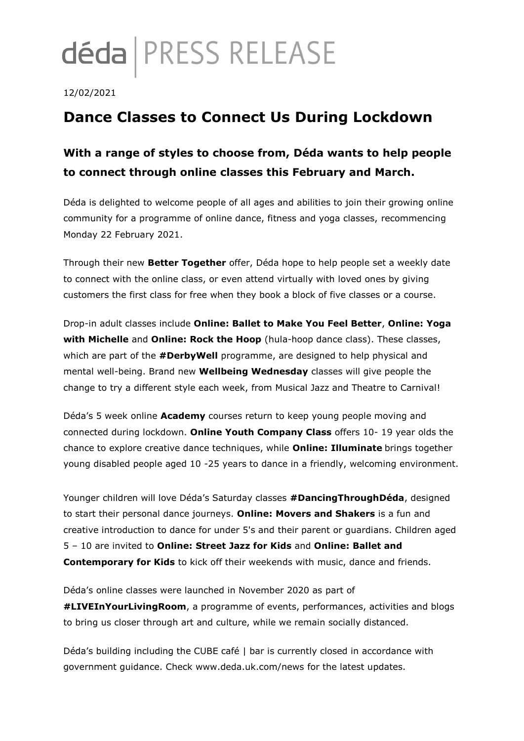# déda | PRESS RELEASE

#### 12/02/2021

## **Dance Classes to Connect Us During Lockdown**

### **With a range of styles to choose from, Déda wants to help people to connect through online classes this February and March.**

Déda is delighted to welcome people of all ages and abilities to join their growing online community for a programme of online dance, fitness and yoga classes, recommencing Monday 22 February 2021.

Through their new **Better Together** offer, Déda hope to help people set a weekly date to connect with the online class, or even attend virtually with loved ones by giving customers the first class for free when they book a block of five classes or a course.

Drop-in adult classes include **Online: Ballet to Make You Feel Better**, **Online: Yoga with Michelle** and **Online: Rock the Hoop** (hula-hoop dance class). These classes, which are part of the **#DerbyWell** programme, are designed to help physical and mental well-being. Brand new **Wellbeing Wednesday** classes will give people the change to try a different style each week, from Musical Jazz and Theatre to Carnival!

Déda's 5 week online **Academy** courses return to keep young people moving and connected during lockdown. **Online Youth Company Class** offers 10- 19 year olds the chance to explore creative dance techniques, while **Online: Illuminate** brings together young disabled people aged 10 -25 years to dance in a friendly, welcoming environment.

Younger children will love Déda's Saturday classes **#DancingThroughDéda**, designed to start their personal dance journeys. **Online: Movers and Shakers** is a fun and creative introduction to dance for under 5's and their parent or guardians. Children aged 5 – 10 are invited to **Online: Street Jazz for Kids** and **Online: Ballet and Contemporary for Kids** to kick off their weekends with music, dance and friends.

Déda's online classes were launched in November 2020 as part of **#LIVEInYourLivingRoom**, a programme of events, performances, activities and blogs to bring us closer through art and culture, while we remain socially distanced.

Déda's building including the CUBE café | bar is currently closed in accordance with government guidance. Check www.deda.uk.com/news for the latest updates.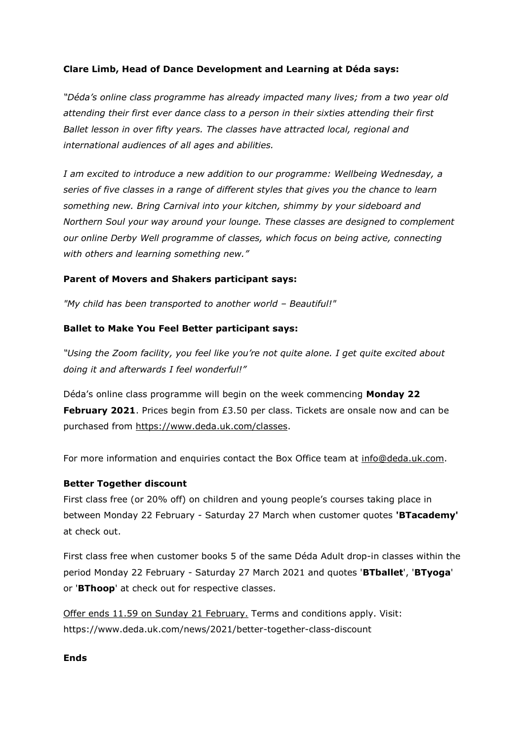#### **Clare Limb, Head of Dance Development and Learning at Déda says:**

*"Déda's online class programme has already impacted many lives; from a two year old attending their first ever dance class to a person in their sixties attending their first Ballet lesson in over fifty years. The classes have attracted local, regional and international audiences of all ages and abilities.* 

*I am excited to introduce a new addition to our programme: Wellbeing Wednesday, a series of five classes in a range of different styles that gives you the chance to learn something new. Bring Carnival into your kitchen, shimmy by your sideboard and Northern Soul your way around your lounge. These classes are designed to complement our online Derby Well programme of classes, which focus on being active, connecting with others and learning something new."*

#### **Parent of Movers and Shakers participant says:**

*"My child has been transported to another world – Beautiful!"*

#### **Ballet to Make You Feel Better participant says:**

*"Using the Zoom facility, you feel like you're not quite alone. I get quite excited about doing it and afterwards I feel wonderful!"*

Déda's online class programme will begin on the week commencing **Monday 22 February 2021**. Prices begin from £3.50 per class. Tickets are onsale now and can be purchased from [https://www.deda.uk.com/classes.](https://www.deda.uk.com/classes)

For more information and enquiries contact the Box Office team at [info@deda.uk.com.](mailto:info@deda.uk.com)

#### **Better Together discount**

First class free (or 20% off) on children and young people's courses taking place in between Monday 22 February - Saturday 27 March when customer quotes **'BTacademy'** at check out.

First class free when customer books 5 of the same Déda Adult drop-in classes within the period Monday 22 February - Saturday 27 March 2021 and quotes '**BTballet**', '**BTyoga**' or '**BThoop**' at check out for respective classes.

Offer ends 11.59 on Sunday 21 February. Terms and conditions apply. Visit: https://www.deda.uk.com/news/2021/better-together-class-discount

#### **Ends**